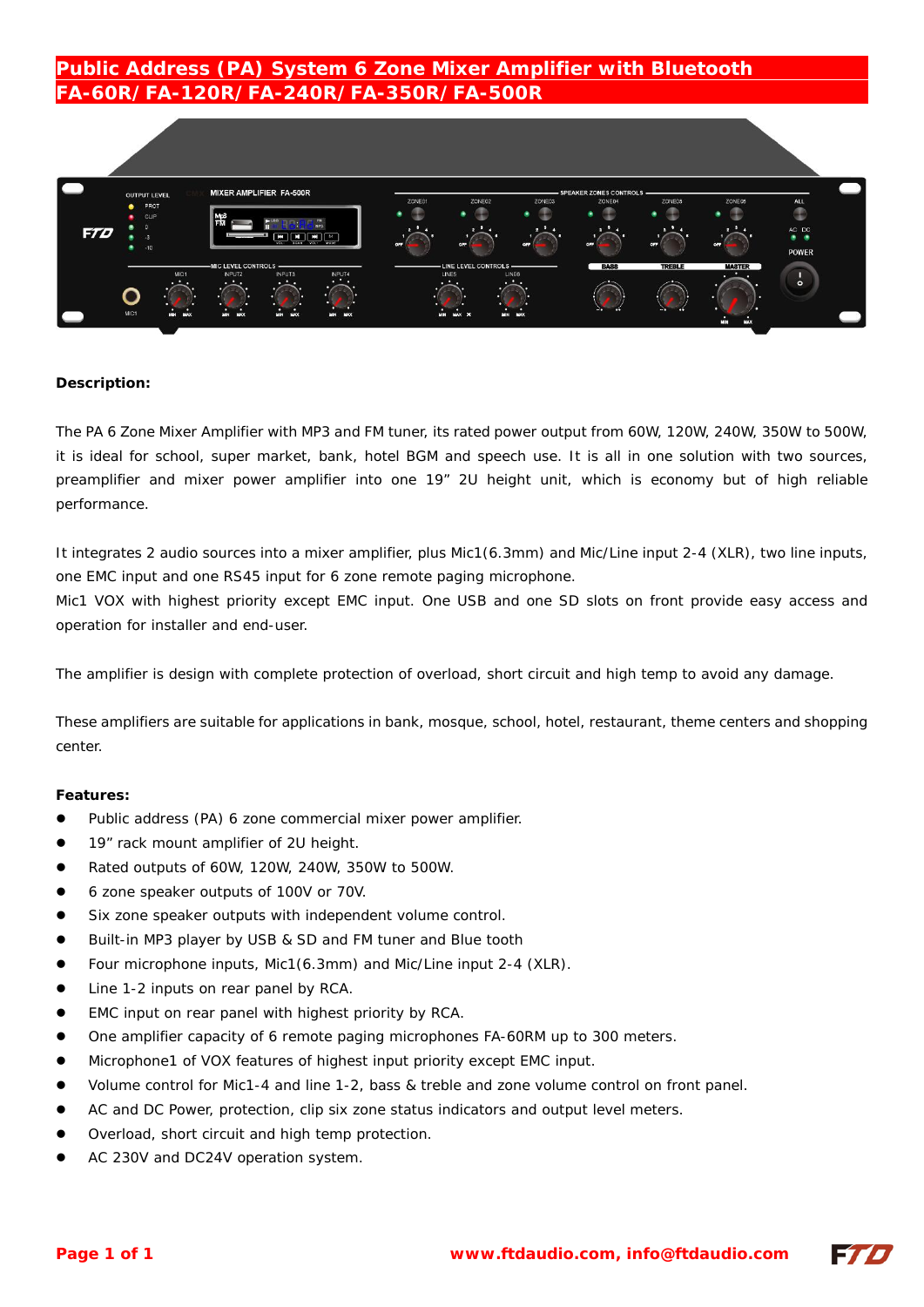# **Public Address (PA) System 6 Zone Mixer Amplifier with Bluetooth FA-60R/FA-120R/FA-240R/FA-350R/FA-500R**



#### **Description:**

The PA 6 Zone Mixer Amplifier with MP3 and FM tuner, its rated power output from 60W, 120W, 240W, 350W to 500W, it is ideal for school, super market, bank, hotel BGM and speech use. It is all in one solution with two sources, preamplifier and mixer power amplifier into one 19" 2U height unit, which is economy but of high reliable performance.

It integrates 2 audio sources into a mixer amplifier, plus Mic1(6.3mm) and Mic/Line input 2-4 (XLR), two line inputs, one EMC input and one RS45 input for 6 zone remote paging microphone.

Mic1 VOX with highest priority except EMC input. One USB and one SD slots on front provide easy access and operation for installer and end-user.

The amplifier is design with complete protection of overload, short circuit and high temp to avoid any damage.

These amplifiers are suitable for applications in bank, mosque, school, hotel, restaurant, theme centers and shopping center.

#### **Features:**

- Public address (PA) 6 zone commercial mixer power amplifier.
- 19" rack mount amplifier of 2U height.
- Rated outputs of 60W, 120W, 240W, 350W to 500W.
- 6 zone speaker outputs of 100V or 70V.
- Six zone speaker outputs with independent volume control.
- Built-in MP3 player by USB & SD and FM tuner and Blue tooth
- Four microphone inputs, Mic1(6.3mm) and Mic/Line input 2-4 (XLR).
- Line 1-2 inputs on rear panel by RCA.
- EMC input on rear panel with highest priority by RCA.
- One amplifier capacity of 6 remote paging microphones FA-60RM up to 300 meters.
- Microphone1 of VOX features of highest input priority except EMC input.
- Volume control for Mic1-4 and line 1-2, bass & treble and zone volume control on front panel.
- AC and DC Power, protection, clip six zone status indicators and output level meters.
- Overload, short circuit and high temp protection.
- AC 230V and DC24V operation system.